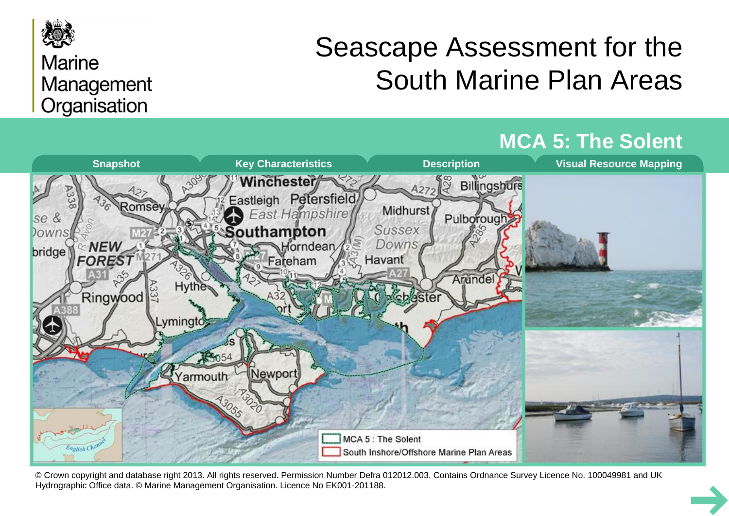

## **Marine** Management Organisation

# Seascape Assessment for the South Marine Plan Areas



© Crown copyright and database right 2013. All rights reserved. Permission Number Defra 012012.003. Contains Ordnance Survey Licence No. 100049981 and UK Hydrographic Office data. © Marine Management Organisation. Licence No EK001-201188.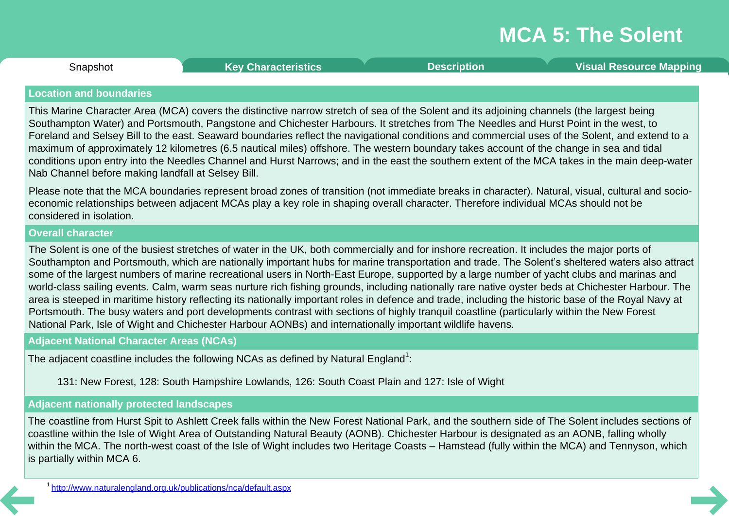<span id="page-1-0"></span>**Snapshot** 

Snapshot **Key [Characteristics](#page-2-0) [Description](#page-3-0) Visual [Resource](#page-8-0) Mapping**

### **Location and boundaries**

This Marine Character Area (MCA) covers the distinctive narrow stretch of sea of the Solent and its adjoining channels (the largest being Southampton Water) and Portsmouth, Pangstone and Chichester Harbours. It stretches from The Needles and Hurst Point in the west, to Foreland and Selsey Bill to the east. Seaward boundaries reflect the navigational conditions and commercial uses of the Solent, and extend to a maximum of approximately 12 kilometres (6.5 nautical miles) offshore. The western boundary takes account of the change in sea and tidal conditions upon entry into the Needles Channel and Hurst Narrows; and in the east the southern extent of the MCA takes in the main deep-water Nab Channel before making landfall at Selsey Bill.

Please note that the MCA boundaries represent broad zones of transition (not immediate breaks in character). Natural, visual, cultural and socio economic relationships between adjacent MCAs play a key role in shaping overall character. Therefore individual MCAs should not be considered in isolation.

### **Overall character**

The Solent is one of the busiest stretches of water in the UK, both commercially and for inshore recreation. It includes the major ports of Southampton and Portsmouth, which are nationally important hubs for marine transportation and trade. The Solent's sheltered waters also attract some of the largest numbers of marine recreational users in North-East Europe, supported by a large number of yacht clubs and marinas and world-class sailing events. Calm, warm seas nurture rich fishing grounds, including nationally rare native oyster beds at Chichester Harbour. The area is steeped in maritime history reflecting its nationally important roles in defence and trade, including the historic base of the Royal Navy at Portsmouth. The busy waters and port developments contrast with sections of highly tranquil coastline (particularly within the New Forest National Park, Isle of Wight and Chichester Harbour AONBs) and internationally important wildlife havens.

### **Adjacent National Character Areas (NCAs)**

The adjacent coastline includes the following NCAs as defined by Natural England $^1\!\!$ :

131: New Forest, 128: South Hampshire Lowlands, 126: South Coast Plain and 127: Isle of Wight

### **Adjacent nationally protected landscapes**

The coastline from Hurst Spit to Ashlett Creek falls within the New Forest National Park, and the southern side of The Solent includes sections of coastline within the Isle of Wight Area of Outstanding Natural Beauty (AONB). Chichester Harbour is designated as an AONB, falling wholly within the MCA. The north-west coast of the Isle of Wight includes two Heritage Coasts – Hamstead (fully within the MCA) and Tennyson, which is partially within MCA 6.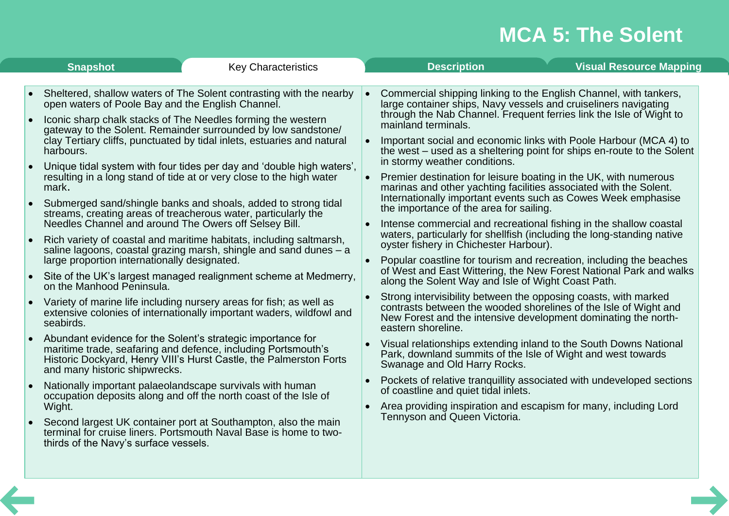<span id="page-2-0"></span>

|           | <b>Snapshot</b><br><b>Key Characteristics</b>                                                                                                                                                                                       |           | <b>Description</b>                                                                                                                                                                                                          |                                                                        | <b>Visual Resource Mapping</b>                                      |  |  |
|-----------|-------------------------------------------------------------------------------------------------------------------------------------------------------------------------------------------------------------------------------------|-----------|-----------------------------------------------------------------------------------------------------------------------------------------------------------------------------------------------------------------------------|------------------------------------------------------------------------|---------------------------------------------------------------------|--|--|
|           |                                                                                                                                                                                                                                     |           |                                                                                                                                                                                                                             |                                                                        |                                                                     |  |  |
|           | Sheltered, shallow waters of The Solent contrasting with the nearby<br>open waters of Poole Bay and the English Channel.                                                                                                            |           | Commercial shipping linking to the English Channel, with tankers,<br>large container ships, Navy vessels and cruiseliners navigating                                                                                        |                                                                        |                                                                     |  |  |
| $\bullet$ | Iconic sharp chalk stacks of The Needles forming the western<br>gateway to the Solent. Remainder surrounded by low sandstone/<br>clay Tertiary cliffs, punctuated by tidal inlets, estuaries and natural                            |           | through the Nab Channel. Frequent ferries link the Isle of Wight to<br>mainland terminals.<br>Important social and economic links with Poole Harbour (MCA 4) to                                                             |                                                                        |                                                                     |  |  |
|           | harbours.<br>Unique tidal system with four tides per day and 'double high waters',                                                                                                                                                  |           | in stormy weather conditions.                                                                                                                                                                                               | the west – used as a sheltering point for ships en-route to the Solent |                                                                     |  |  |
|           | resulting in a long stand of tide at or very close to the high water<br>mark.                                                                                                                                                       |           | Premier destination for leisure boating in the UK, with numerous<br>marinas and other yachting facilities associated with the Solent.<br>Internationally important events such as Cowes Week emphasise                      |                                                                        |                                                                     |  |  |
|           | Submerged sand/shingle banks and shoals, added to strong tidal<br>streams, creating areas of treacherous water, particularly the<br>Needles Channel and around The Owers off Selsey Bill.                                           |           | the importance of the area for sailing.<br>Intense commercial and recreational fishing in the shallow coastal                                                                                                               |                                                                        |                                                                     |  |  |
|           | Rich variety of coastal and maritime habitats, including saltmarsh,<br>saline lagoons, coastal grazing marsh, shingle and sand dunes - a                                                                                            |           | waters, particularly for shellfish (including the long-standing native<br>oyster fishery in Chichester Harbour).                                                                                                            |                                                                        | Popular coastline for tourism and recreation, including the beaches |  |  |
|           | large proportion internationally designated.<br>Site of the UK's largest managed realignment scheme at Medmerry,<br>on the Manhood Peninsula.                                                                                       |           | of West and East Wittering, the New Forest National Park and walks<br>along the Solent Way and Isle of Wight Coast Path.                                                                                                    |                                                                        |                                                                     |  |  |
| $\bullet$ | Variety of marine life including nursery areas for fish; as well as<br>extensive colonies of internationally important waders, wildfowl and<br>seabirds.                                                                            |           | Strong intervisibility between the opposing coasts, with marked<br>contrasts between the wooded shorelines of the Isle of Wight and<br>New Forest and the intensive development dominating the north-<br>eastern shoreline. |                                                                        |                                                                     |  |  |
|           | Abundant evidence for the Solent's strategic importance for<br>maritime trade, seafaring and defence, including Portsmouth's<br>Historic Dockyard, Henry VIII's Hurst Castle, the Palmerston Forts<br>and many historic shipwrecks. |           | Visual relationships extending inland to the South Downs National<br>Park, downland summits of the Isle of Wight and west towards<br>Swanage and Old Harry Rocks.                                                           |                                                                        |                                                                     |  |  |
|           | Nationally important palaeolandscape survivals with human<br>occupation deposits along and off the north coast of the Isle of                                                                                                       | $\bullet$ | Pockets of relative tranquillity associated with undeveloped sections<br>of coastline and quiet tidal inlets.                                                                                                               |                                                                        |                                                                     |  |  |
|           | Wight.<br>Second largest UK container port at Southampton, also the main<br>terminal for cruise liners. Portsmouth Naval Base is home to two-<br>thirds of the Navy's surface vessels.                                              |           | Area providing inspiration and escapism for many, including Lord<br>Tennyson and Queen Victoria.                                                                                                                            |                                                                        |                                                                     |  |  |
|           |                                                                                                                                                                                                                                     |           |                                                                                                                                                                                                                             |                                                                        |                                                                     |  |  |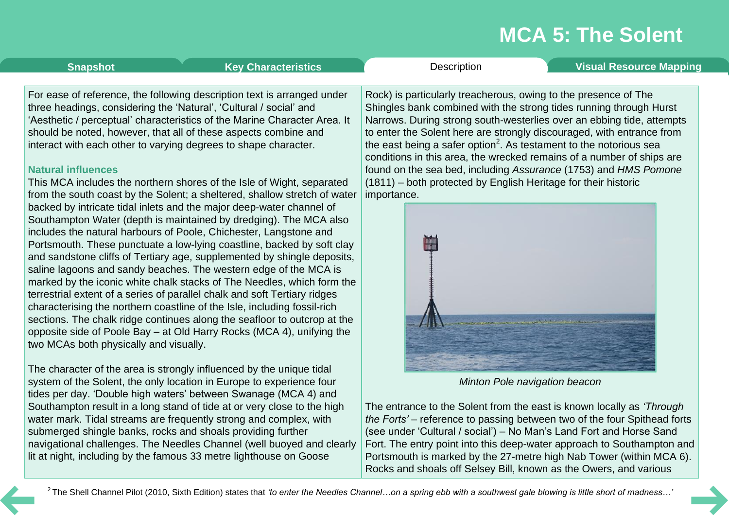<span id="page-3-0"></span>**[Snapshot](#page-1-0) Key [Characteristics](#page-2-0) [Description](#page-3-0) Visual [Resource](#page-8-0) Mapping** 

For ease of reference, the following description text is arranged under three headings, considering the 'Natural', 'Cultural / social' and 'Aesthetic / perceptual' characteristics of the Marine Character Area. It should be noted, however, that all of these aspects combine and interact with each other to varying degrees to shape character.

### **Natural influences**

This MCA includes the northern shores of the Isle of Wight, separated from the south coast by the Solent; a sheltered, shallow stretch of water backed by intricate tidal inlets and the major deep-water channel of Southampton Water (depth is maintained by dredging). The MCA also includes the natural harbours of Poole, Chichester, Langstone and Portsmouth. These punctuate a low-lying coastline, backed by soft clay and sandstone cliffs of Tertiary age, supplemented by shingle deposits, saline lagoons and sandy beaches. The western edge of the MCA is marked by the iconic white chalk stacks of The Needles, which form the terrestrial extent of a series of parallel chalk and soft Tertiary ridges characterising the northern coastline of the Isle, including fossil-rich sections. The chalk ridge continues along the seafloor to outcrop at the opposite side of Poole Bay – at Old Harry Rocks (MCA 4), unifying the two MCAs both physically and visually.

The character of the area is strongly influenced by the unique tidal system of the Solent, the only location in Europe to experience four tides per day. 'Double high waters' between Swanage (MCA 4) and Southampton result in a long stand of tide at or very close to the high water mark. Tidal streams are frequently strong and complex, with submerged shingle banks, rocks and shoals providing further navigational challenges. The Needles Channel (well buoyed and clearly lit at night, including by the famous 33 metre lighthouse on Goose

Rock) is particularly treacherous, owing to the presence of The Shingles bank combined with the strong tides running through Hurst Narrows. During strong south-westerlies over an ebbing tide, attempts to enter the Solent here are strongly discouraged, with entrance from the east being a safer option $^2$ . As testament to the notorious sea conditions in this area, the wrecked remains of a number of ships are found on the sea bed, including *Assurance* (1753) and *HMS Pomone* (1811) – both protected by English Heritage for their historic importance.



*Minton Pole navigation beacon*

The entrance to the Solent from the east is known locally as *'Through the Forts'* – reference to passing between two of the four Spithead forts (see under 'Cultural / social') – No Man's Land Fort and Horse Sand Fort. The entry point into this deep-water approach to Southampton and Portsmouth is marked by the 27-metre high Nab Tower (within MCA 6). Rocks and shoals off Selsey Bill, known as the Owers, and various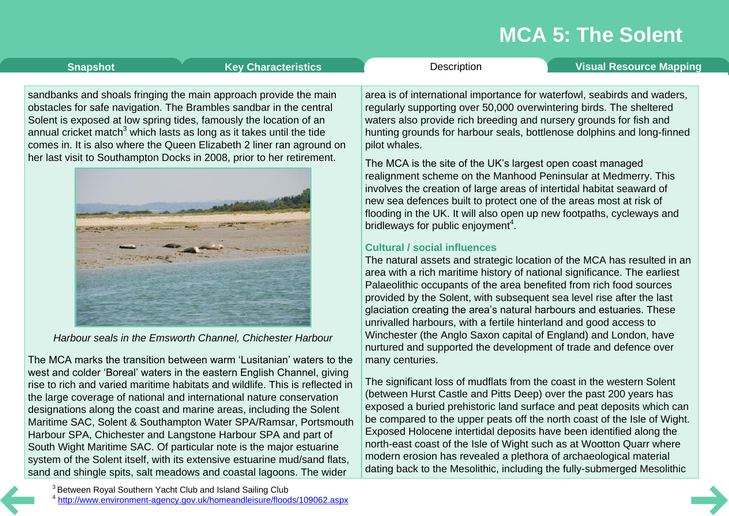**[Snapshot](#page-1-0) Key [Characteristics](#page-2-0) [Description](#page-3-0) Visual [Resource](#page-8-0) Mapping** 

sandbanks and shoals fringing the main approach provide the main obstacles for safe navigation. The Brambles sandbar in the central Solent is exposed at low spring tides, famously the location of an annual cricket match<sup>3</sup> which lasts as long as it takes until the tide comes in. It is also where the Queen Elizabeth 2 liner ran aground on her last visit to Southampton Docks in 2008, prior to her retirement.



*Harbour seals in the Emsworth Channel, Chichester Harbour*

The MCA marks the transition between warm 'Lusitanian' waters to the west and colder 'Boreal' waters in the eastern English Channel, giving rise to rich and varied maritime habitats and wildlife. This is reflected in the large coverage of national and international nature conservation designations along the coast and marine areas, including the Solent Maritime SAC, Solent & Southampton Water SPA/Ramsar, Portsmouth Harbour SPA, Chichester and Langstone Harbour SPA and part of South Wight Maritime SAC. Of particular note is the major estuarine system of the Solent itself, with its extensive estuarine mud/sand flats, sand and shingle spits, salt meadows and coastal lagoons. The wider

<sup>3</sup> Between Royal Southern Yacht Club and Island Sailing Club <sup>4</sup> http://www.environment-agency.gov.uk/homeandleisure/floods/109062.aspx area is of international importance for waterfowl, seabirds and waders, regularly supporting over 50,000 overwintering birds. The sheltered waters also provide rich breeding and nursery grounds for fish and hunting grounds for harbour seals, bottlenose dolphins and long-finned pilot whales.

The MCA is the site of the UK's largest open coast managed realignment scheme on the Manhood Peninsular at Medmerry. This involves the creation of large areas of intertidal habitat seaward of new sea defences built to protect one of the areas most at risk of flooding in the UK. It will also open up new footpaths, cycleways and bridleways for public enjoyment<sup>4</sup>.

### **Cultural / social influences**

The natural assets and strategic location of the MCA has resulted in an area with a rich maritime history of national significance. The earliest Palaeolithic occupants of the area benefited from rich food sources provided by the Solent, with subsequent sea level rise after the last glaciation creating the area's natural harbours and estuaries. These unrivalled harbours, with a fertile hinterland and good access to Winchester (the Anglo Saxon capital of England) and London, have nurtured and supported the development of trade and defence over many centuries.

The significant loss of mudflats from the coast in the western Solent (between Hurst Castle and Pitts Deep) over the past 200 years has exposed a buried prehistoric land surface and peat deposits which can be compared to the upper peats off the north coast of the Isle of Wight. Exposed Holocene intertidal deposits have been identified along the north-east coast of the Isle of Wight such as at Wootton Quarr where modern erosion has revealed a plethora of archaeological material dating back to the Mesolithic, including the fully-submerged Mesolithic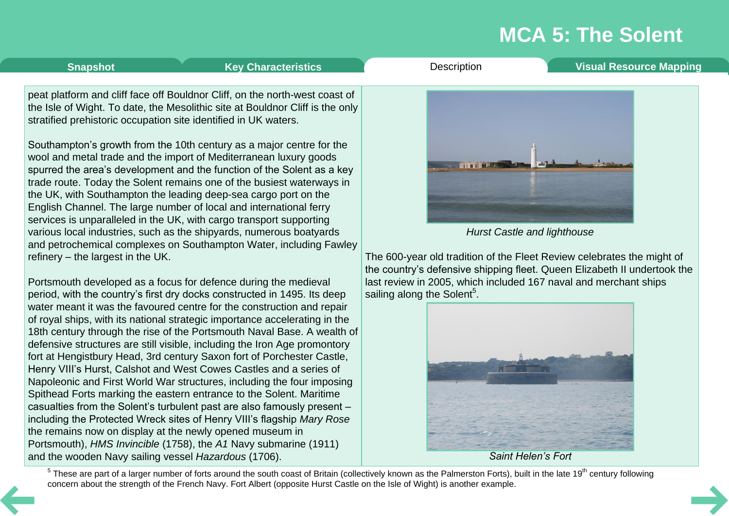**[Snapshot](#page-1-0) Key [Characteristics](#page-2-0) Victory Characteristics Characteristics Constanting Visual [Resource](#page-8-0) Mapping** 

peat platform and cliff face off Bouldnor Cliff, on the north-west coast of the Isle of Wight. To date, the Mesolithic site at Bouldnor Cliff is the only stratified prehistoric occupation site identified in UK waters.

Southampton's growth from the 10th century as a major centre for the wool and metal trade and the import of Mediterranean luxury goods spurred the area's development and the function of the Solent as a key trade route. Today the Solent remains one of the busiest waterways in the UK, with Southampton the leading deep-sea cargo port on the English Channel. The large number of local and international ferry services is unparalleled in the UK, with cargo transport supporting various local industries, such as the shipyards, numerous boatyards and petrochemical complexes on Southampton Water, including Fawley refinery – the largest in the UK.

Portsmouth developed as a focus for defence during the medieval period, with the country's first dry docks constructed in 1495. Its deep water meant it was the favoured centre for the construction and repair of royal ships, with its national strategic importance accelerating in the 18th century through the rise of the Portsmouth Naval Base. A wealth of defensive structures are still visible, including the Iron Age promontory fort at Hengistbury Head, 3rd century Saxon fort of Porchester Castle, Henry VIII's Hurst, Calshot and West Cowes Castles and a series of Napoleonic and First World War structures, including the four imposing Spithead Forts marking the eastern entrance to the Solent. Maritime casualties from the Solent's turbulent past are also famously present – including the Protected Wreck sites of Henry VIII's flagship *Mary Rose* the remains now on display at the newly opened museum in Portsmouth), *HMS Invincible* (1758), the *A1* Navy submarine (1911) and the wooden Navy sailing vessel *Hazardous* (1706).



*Hurst Castle and lighthouse*

The 600-year old tradition of the Fleet Review celebrates the might of the country's defensive shipping fleet. Queen Elizabeth II undertook the last review in 2005, which included 167 naval and merchant ships sailing along the Solent $^5$ .



*Saint Helen's Fort*

 $5$  These are part of a larger number of forts around the south coast of Britain (collectively known as the Palmerston Forts), built in the late 19<sup>th</sup> century following concern about the strength of the French Navy. Fort Albert (opposite Hurst Castle on the Isle of Wight) is another example.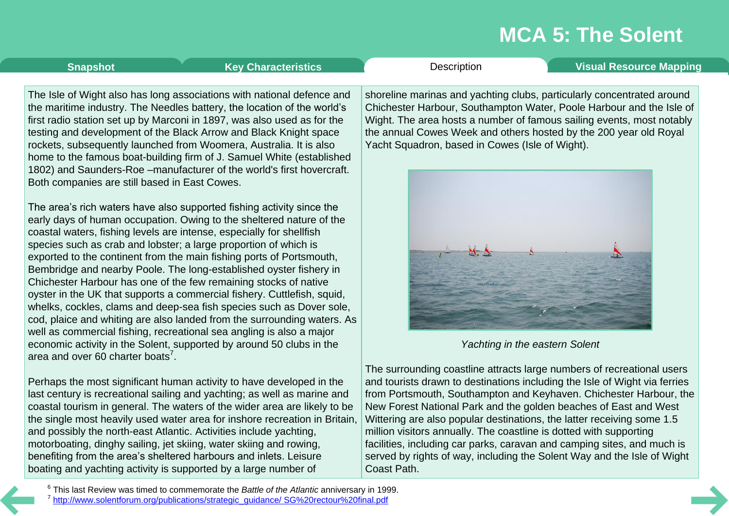**[Snapshot](#page-1-0) Key [Characteristics](#page-2-0) [Description](#page-3-0) Visual [Resource](#page-8-0) Mapping** 

The Isle of Wight also has long associations with national defence and the maritime industry. The Needles battery, the location of the world's first radio station set up by Marconi in 1897, was also used as for the testing and development of the Black Arrow and Black Knight space rockets, subsequently launched from Woomera, Australia. It is also home to the famous boat-building firm of J. Samuel White (established 1802) and Saunders-Roe –manufacturer of the world's first hovercraft. Both companies are still based in East Cowes.

The area's rich waters have also supported fishing activity since the early days of human occupation. Owing to the sheltered nature of the coastal waters, fishing levels are intense, especially for shellfish species such as crab and lobster; a large proportion of which is exported to the continent from the main fishing ports of Portsmouth, Bembridge and nearby Poole. The long-established oyster fishery in Chichester Harbour has one of the few remaining stocks of native oyster in the UK that supports a commercial fishery. Cuttlefish, squid, whelks, cockles, clams and deep-sea fish species such as Dover sole, cod, plaice and whiting are also landed from the surrounding waters. As well as commercial fishing, recreational sea angling is also a major economic activity in the Solent, supported by around 50 clubs in the area and over 60 charter boats<sup>7</sup>.

Perhaps the most significant human activity to have developed in the last century is recreational sailing and yachting; as well as marine and coastal tourism in general. The waters of the wider area are likely to be the single most heavily used water area for inshore recreation in Britain, and possibly the north-east Atlantic. Activities include yachting, motorboating, dinghy sailing, jet skiing, water skiing and rowing, benefiting from the area's sheltered harbours and inlets. Leisure boating and yachting activity is supported by a large number of

shoreline marinas and yachting clubs, particularly concentrated around Chichester Harbour, Southampton Water, Poole Harbour and the Isle of Wight. The area hosts a number of famous sailing events, most notably the annual Cowes Week and others hosted by the 200 year old Royal Yacht Squadron, based in Cowes (Isle of Wight).



*Yachting in the eastern Solent*

The surrounding coastline attracts large numbers of recreational users and tourists drawn to destinations including the Isle of Wight via ferries from Portsmouth, Southampton and Keyhaven. Chichester Harbour, the New Forest National Park and the golden beaches of East and West Wittering are also popular destinations, the latter receiving some 1.5 million visitors annually. The coastline is dotted with supporting facilities, including car parks, caravan and camping sites, and much is served by rights of way, including the Solent Way and the Isle of Wight Coast Path.

<sup>6</sup> This last Review was timed to commemorate the *Battle of the Atlantic* anniversary in 1999. <sup>7</sup> http://www.solentforum.org/publications/strategic\_guidance/ SG%20rectour%20final.pdf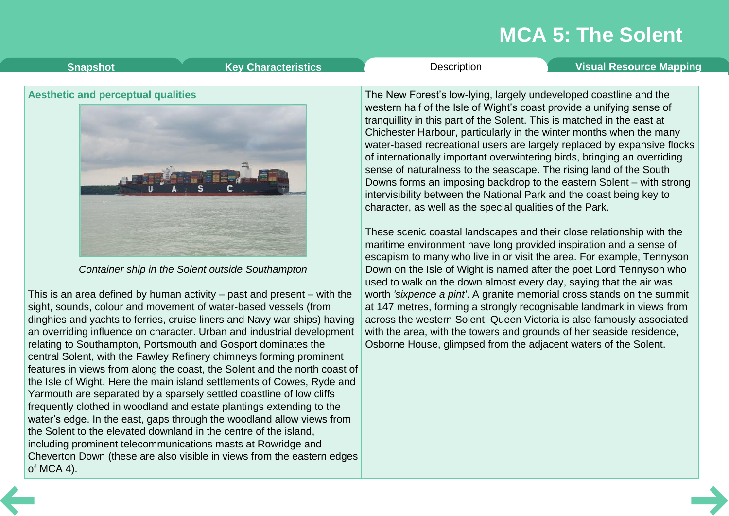<span id="page-7-0"></span>

| <b>Key Characteristics</b>                | <b>Visual Resource Mapping</b>                                                                                                                                                                                                                                                                                                                                                                                                                                                                                                                                                                                                                                                                                                                                                                                 |
|-------------------------------------------|----------------------------------------------------------------------------------------------------------------------------------------------------------------------------------------------------------------------------------------------------------------------------------------------------------------------------------------------------------------------------------------------------------------------------------------------------------------------------------------------------------------------------------------------------------------------------------------------------------------------------------------------------------------------------------------------------------------------------------------------------------------------------------------------------------------|
| <b>Snapshot</b>                           | Description                                                                                                                                                                                                                                                                                                                                                                                                                                                                                                                                                                                                                                                                                                                                                                                                    |
| <b>Aesthetic and perceptual qualities</b> | The New Forest's low-lying, largely undeveloped coastline and the<br>western half of the Isle of Wight's coast provide a unifying sense of<br>tranquillity in this part of the Solent. This is matched in the east at<br>Chichester Harbour, particularly in the winter months when the many<br>water-based recreational users are largely replaced by expansive flocks<br>of internationally important overwintering birds, bringing an overriding<br>sense of naturalness to the seascape. The rising land of the South<br>Downs forms an imposing backdrop to the eastern Solent – with strong<br>intervisibility between the National Park and the coast being key to<br>character, as well as the special qualities of the Park.<br>These scenic coastal landscapes and their close relationship with the |

maritime environment have long provided inspiration and a sense of escapism to many who live in or visit the area. For example, Tennyson Down on the Isle of Wight is named after the poet Lord Tennyson who used to walk on the down almost every day, saying that the air was worth *'sixpence a pint'*. A granite memorial cross stands on the summit at 147 metres, forming a strongly recognisable landmark in views from across the western Solent. Queen Victoria is also famously associated with the area, with the towers and grounds of her seaside residence, Osborne House, glimpsed from the adjacent waters of the Solent.



*Container ship in the Solent outside Southampton*

This is an area defined by human activity – past and present – with the sight, sounds, colour and movement of water-based vessels (from dinghies and yachts to ferries, cruise liners and Navy war ships) having an overriding influence on character. Urban and industrial development relating to Southampton, Portsmouth and Gosport dominates the central Solent, with the Fawley Refinery chimneys forming prominent features in views from along the coast, the Solent and the north coast of the Isle of Wight. Here the main island settlements of Cowes, Ryde and Yarmouth are separated by a sparsely settled coastline of low cliffs frequently clothed in woodland and estate plantings extending to the water's edge. In the east, gaps through the woodland allow views from the Solent to the elevated downland in the centre of the island, including prominent telecommunications masts at Rowridge and Cheverton Down (these are also visible in views from the eastern edges of MCA 4).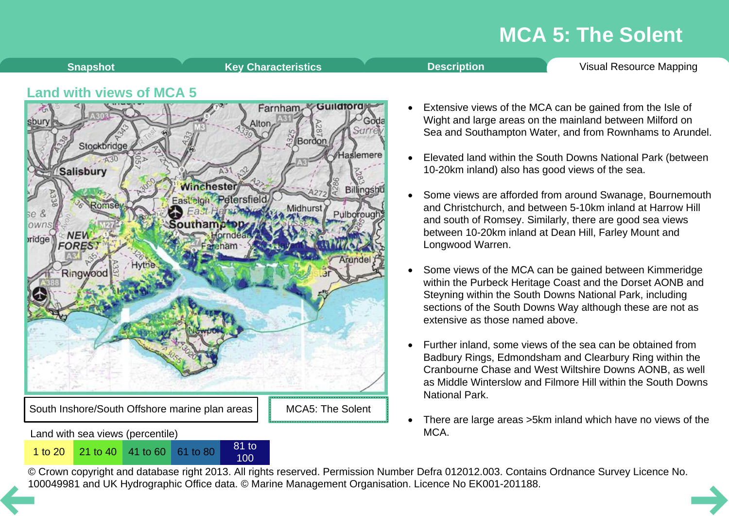<span id="page-8-0"></span>

100

© Crown copyright and database right 2013. All rights reserved. Permission Number Defra 012012.003. Contains Ordnance Survey Licence No. 1 to 20<sup>21</sup> to 40<sup>41</sup> to 60<sup>61</sup> to 80<sup>81</sup> to 80<sup>81</sup> to 80<sup>81</sup> to [10](#page-7-0)0<br>© Crown copyright and database right 2013. All rights reserved. Permission Number Defra 012012.003. Contain<br>100049981 and UK Hydrographic Office data. ©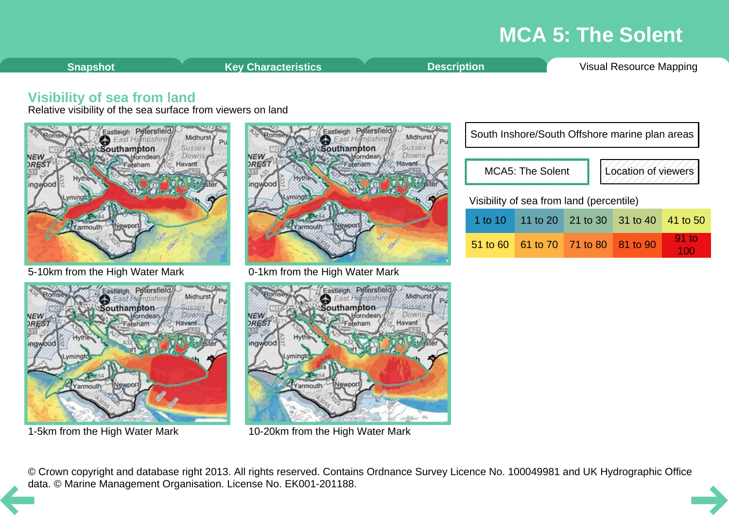<span id="page-9-0"></span>**Shapshot Key [Characteristics](#page-2-0) [Description](#page-3-0) Visual [Resource](#page-8-0) Mapping** 

100

### **Visibility of sea from land**

Relative visibility of the sea surface from viewers on land



5-10km from the High Water Mark



1-5km from the High Water Mark



0-1km from the High Water Mark



10-20km from the High Water Mark

| South Inshore/South Offshore marine plan areas |  |                            |                     |                  |  |  |  |  |  |
|------------------------------------------------|--|----------------------------|---------------------|------------------|--|--|--|--|--|
| <b>MCA5: The Solent</b>                        |  |                            | Location of viewers |                  |  |  |  |  |  |
| Visibility of sea from land (percentile)       |  |                            |                     |                  |  |  |  |  |  |
| 1 to 10 $\vert$                                |  | 11 to 20 21 to 30 31 to 40 |                     | 41 to 50         |  |  |  |  |  |
| 51 to 60                                       |  | 61 to 70 71 to 80 81 to 90 |                     | $91$ to<br>1 O.O |  |  |  |  |  |

© Crown copyright and database right 2013. All rights reserved. Contains Ordnance Survey Licence No. 100049981 and UK Hydrographic Office [da](#page-8-0)ta. © Marine Management Organisation. License No. EK001-201188.